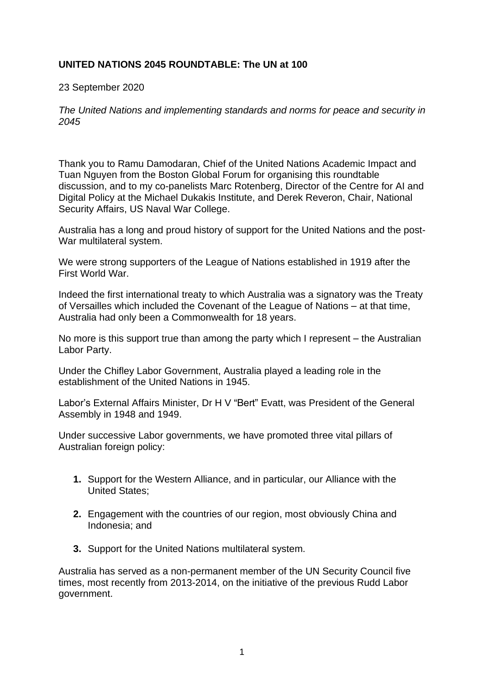## **UNITED NATIONS 2045 ROUNDTABLE: The UN at 100**

23 September 2020

*The United Nations and implementing standards and norms for peace and security in 2045*

Thank you to Ramu Damodaran, Chief of the United Nations Academic Impact and Tuan Nguyen from the Boston Global Forum for organising this roundtable discussion, and to my co-panelists Marc Rotenberg, Director of the Centre for AI and Digital Policy at the Michael Dukakis Institute, and Derek Reveron, Chair, National Security Affairs, US Naval War College.

Australia has a long and proud history of support for the United Nations and the post-War multilateral system.

We were strong supporters of the League of Nations established in 1919 after the First World War.

Indeed the first international treaty to which Australia was a signatory was the Treaty of Versailles which included the Covenant of the League of Nations – at that time, Australia had only been a Commonwealth for 18 years.

No more is this support true than among the party which I represent – the Australian Labor Party.

Under the Chifley Labor Government, Australia played a leading role in the establishment of the United Nations in 1945.

Labor's External Affairs Minister, Dr H V "Bert" Evatt, was President of the General Assembly in 1948 and 1949.

Under successive Labor governments, we have promoted three vital pillars of Australian foreign policy:

- **1.** Support for the Western Alliance, and in particular, our Alliance with the United States;
- **2.** Engagement with the countries of our region, most obviously China and Indonesia; and
- **3.** Support for the United Nations multilateral system.

Australia has served as a non-permanent member of the UN Security Council five times, most recently from 2013-2014, on the initiative of the previous Rudd Labor government.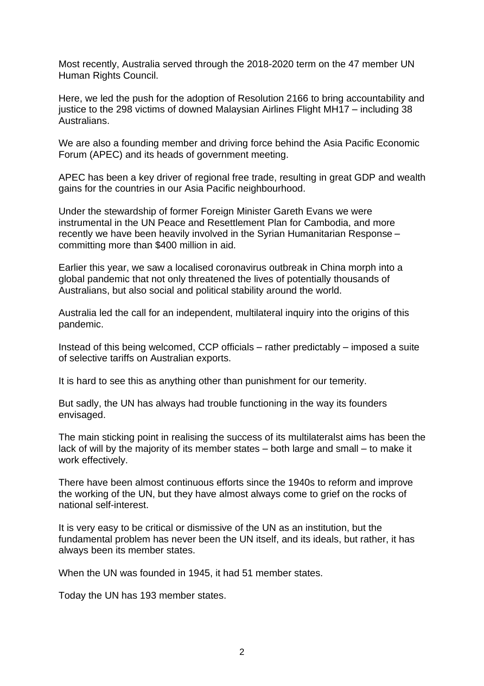Most recently, Australia served through the 2018-2020 term on the 47 member UN Human Rights Council.

Here, we led the push for the adoption of Resolution 2166 to bring accountability and justice to the 298 victims of downed Malaysian Airlines Flight MH17 – including 38 Australians.

We are also a founding member and driving force behind the Asia Pacific Economic Forum (APEC) and its heads of government meeting.

APEC has been a key driver of regional free trade, resulting in great GDP and wealth gains for the countries in our Asia Pacific neighbourhood.

Under the stewardship of former Foreign Minister Gareth Evans we were instrumental in the UN Peace and Resettlement Plan for Cambodia, and more recently we have been heavily involved in the Syrian Humanitarian Response – committing more than \$400 million in aid.

Earlier this year, we saw a localised coronavirus outbreak in China morph into a global pandemic that not only threatened the lives of potentially thousands of Australians, but also social and political stability around the world.

Australia led the call for an independent, multilateral inquiry into the origins of this pandemic.

Instead of this being welcomed, CCP officials – rather predictably – imposed a suite of selective tariffs on Australian exports.

It is hard to see this as anything other than punishment for our temerity.

But sadly, the UN has always had trouble functioning in the way its founders envisaged.

The main sticking point in realising the success of its multilateralst aims has been the lack of will by the majority of its member states – both large and small – to make it work effectively.

There have been almost continuous efforts since the 1940s to reform and improve the working of the UN, but they have almost always come to grief on the rocks of national self-interest.

It is very easy to be critical or dismissive of the UN as an institution, but the fundamental problem has never been the UN itself, and its ideals, but rather, it has always been its member states.

When the UN was founded in 1945, it had 51 member states.

Today the UN has 193 member states.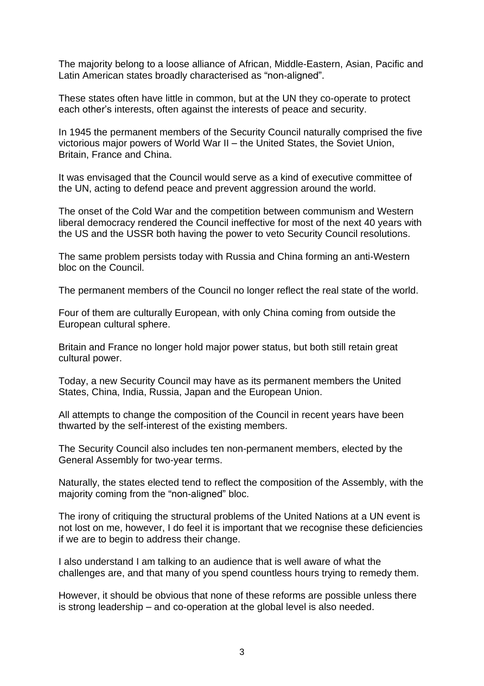The majority belong to a loose alliance of African, Middle-Eastern, Asian, Pacific and Latin American states broadly characterised as "non-aligned".

These states often have little in common, but at the UN they co-operate to protect each other's interests, often against the interests of peace and security.

In 1945 the permanent members of the Security Council naturally comprised the five victorious major powers of World War II – the United States, the Soviet Union, Britain, France and China.

It was envisaged that the Council would serve as a kind of executive committee of the UN, acting to defend peace and prevent aggression around the world.

The onset of the Cold War and the competition between communism and Western liberal democracy rendered the Council ineffective for most of the next 40 years with the US and the USSR both having the power to veto Security Council resolutions.

The same problem persists today with Russia and China forming an anti-Western bloc on the Council.

The permanent members of the Council no longer reflect the real state of the world.

Four of them are culturally European, with only China coming from outside the European cultural sphere.

Britain and France no longer hold major power status, but both still retain great cultural power.

Today, a new Security Council may have as its permanent members the United States, China, India, Russia, Japan and the European Union.

All attempts to change the composition of the Council in recent years have been thwarted by the self-interest of the existing members.

The Security Council also includes ten non-permanent members, elected by the General Assembly for two-year terms.

Naturally, the states elected tend to reflect the composition of the Assembly, with the majority coming from the "non-aligned" bloc.

The irony of critiquing the structural problems of the United Nations at a UN event is not lost on me, however, I do feel it is important that we recognise these deficiencies if we are to begin to address their change.

I also understand I am talking to an audience that is well aware of what the challenges are, and that many of you spend countless hours trying to remedy them.

However, it should be obvious that none of these reforms are possible unless there is strong leadership – and co-operation at the global level is also needed.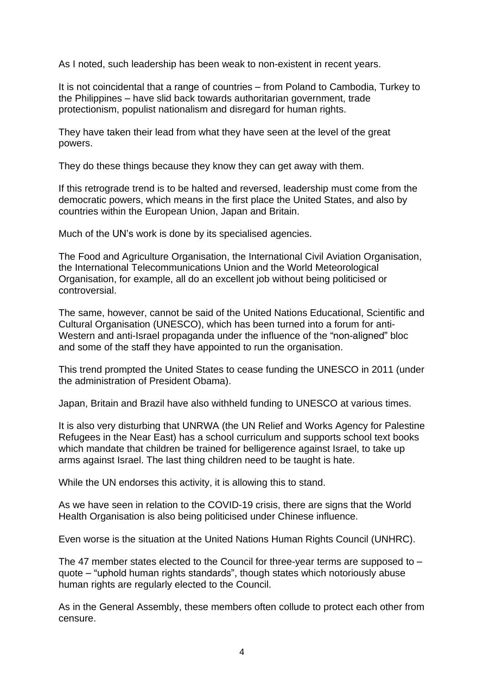As I noted, such leadership has been weak to non-existent in recent years.

It is not coincidental that a range of countries – from Poland to Cambodia, Turkey to the Philippines – have slid back towards authoritarian government, trade protectionism, populist nationalism and disregard for human rights.

They have taken their lead from what they have seen at the level of the great powers.

They do these things because they know they can get away with them.

If this retrograde trend is to be halted and reversed, leadership must come from the democratic powers, which means in the first place the United States, and also by countries within the European Union, Japan and Britain.

Much of the UN's work is done by its specialised agencies.

The Food and Agriculture Organisation, the International Civil Aviation Organisation, the International Telecommunications Union and the World Meteorological Organisation, for example, all do an excellent job without being politicised or controversial.

The same, however, cannot be said of the United Nations Educational, Scientific and Cultural Organisation (UNESCO), which has been turned into a forum for anti-Western and anti-Israel propaganda under the influence of the "non-aligned" bloc and some of the staff they have appointed to run the organisation.

This trend prompted the United States to cease funding the UNESCO in 2011 (under the administration of President Obama).

Japan, Britain and Brazil have also withheld funding to UNESCO at various times.

It is also very disturbing that UNRWA (the UN Relief and Works Agency for Palestine Refugees in the Near East) has a school curriculum and supports school text books which mandate that children be trained for belligerence against Israel, to take up arms against Israel. The last thing children need to be taught is hate.

While the UN endorses this activity, it is allowing this to stand.

As we have seen in relation to the COVID-19 crisis, there are signs that the World Health Organisation is also being politicised under Chinese influence.

Even worse is the situation at the United Nations Human Rights Council (UNHRC).

The 47 member states elected to the Council for three-year terms are supposed to – quote – "uphold human rights standards", though states which notoriously abuse human rights are regularly elected to the Council.

As in the General Assembly, these members often collude to protect each other from censure.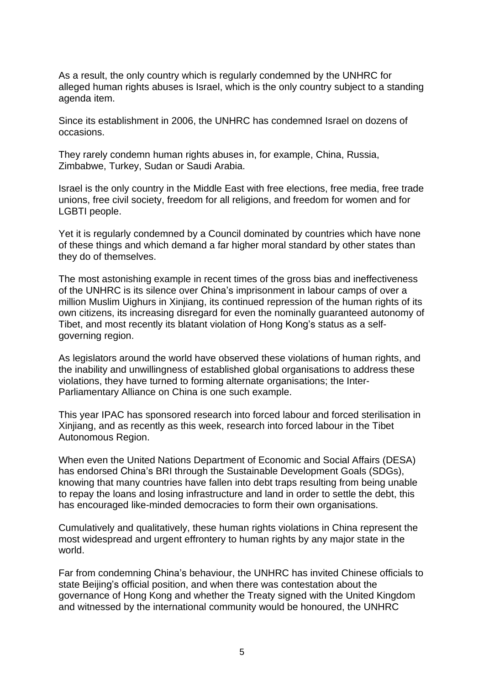As a result, the only country which is regularly condemned by the UNHRC for alleged human rights abuses is Israel, which is the only country subject to a standing agenda item.

Since its establishment in 2006, the UNHRC has condemned Israel on dozens of occasions.

They rarely condemn human rights abuses in, for example, China, Russia, Zimbabwe, Turkey, Sudan or Saudi Arabia.

Israel is the only country in the Middle East with free elections, free media, free trade unions, free civil society, freedom for all religions, and freedom for women and for LGBTI people.

Yet it is regularly condemned by a Council dominated by countries which have none of these things and which demand a far higher moral standard by other states than they do of themselves.

The most astonishing example in recent times of the gross bias and ineffectiveness of the UNHRC is its silence over China's imprisonment in labour camps of over a million Muslim Uighurs in Xinjiang, its continued repression of the human rights of its own citizens, its increasing disregard for even the nominally guaranteed autonomy of Tibet, and most recently its blatant violation of Hong Kong's status as a selfgoverning region.

As legislators around the world have observed these violations of human rights, and the inability and unwillingness of established global organisations to address these violations, they have turned to forming alternate organisations; the Inter-Parliamentary Alliance on China is one such example.

This year IPAC has sponsored research into forced labour and forced sterilisation in Xinjiang, and as recently as this week, research into forced labour in the Tibet Autonomous Region.

When even the United Nations Department of Economic and Social Affairs (DESA) has endorsed China's BRI through the Sustainable Development Goals (SDGs), knowing that many countries have fallen into debt traps resulting from being unable to repay the loans and losing infrastructure and land in order to settle the debt, this has encouraged like-minded democracies to form their own organisations.

Cumulatively and qualitatively, these human rights violations in China represent the most widespread and urgent effrontery to human rights by any major state in the world.

Far from condemning China's behaviour, the UNHRC has invited Chinese officials to state Beijing's official position, and when there was contestation about the governance of Hong Kong and whether the Treaty signed with the United Kingdom and witnessed by the international community would be honoured, the UNHRC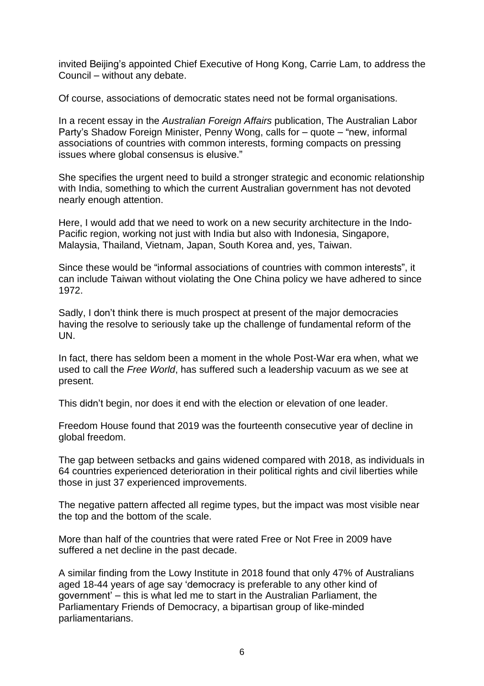invited Beijing's appointed Chief Executive of Hong Kong, Carrie Lam, to address the Council – without any debate.

Of course, associations of democratic states need not be formal organisations.

In a recent essay in the *Australian Foreign Affairs* publication, The Australian Labor Party's Shadow Foreign Minister, Penny Wong, calls for – quote – "new, informal associations of countries with common interests, forming compacts on pressing issues where global consensus is elusive."

She specifies the urgent need to build a stronger strategic and economic relationship with India, something to which the current Australian government has not devoted nearly enough attention.

Here, I would add that we need to work on a new security architecture in the Indo-Pacific region, working not just with India but also with Indonesia, Singapore, Malaysia, Thailand, Vietnam, Japan, South Korea and, yes, Taiwan.

Since these would be "informal associations of countries with common interests", it can include Taiwan without violating the One China policy we have adhered to since 1972.

Sadly, I don't think there is much prospect at present of the major democracies having the resolve to seriously take up the challenge of fundamental reform of the UN.

In fact, there has seldom been a moment in the whole Post-War era when, what we used to call the *Free World*, has suffered such a leadership vacuum as we see at present.

This didn't begin, nor does it end with the election or elevation of one leader.

Freedom House found that 2019 was the fourteenth consecutive year of decline in global freedom.

The gap between setbacks and gains widened compared with 2018, as individuals in 64 countries experienced deterioration in their political rights and civil liberties while those in just 37 experienced improvements.

The negative pattern affected all regime types, but the impact was most visible near the top and the bottom of the scale.

More than half of the countries that were rated Free or Not Free in 2009 have suffered a net decline in the past decade.

A similar finding from the Lowy Institute in 2018 found that only 47% of Australians aged 18-44 years of age say 'democracy is preferable to any other kind of government' – this is what led me to start in the Australian Parliament, the Parliamentary Friends of Democracy, a bipartisan group of like-minded parliamentarians.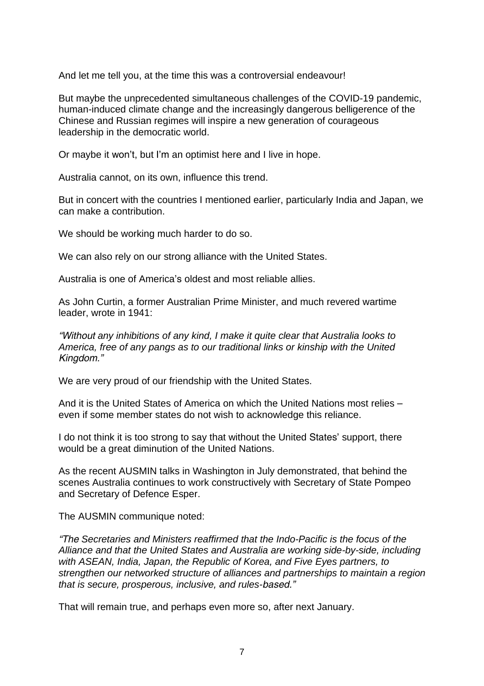And let me tell you, at the time this was a controversial endeavour!

But maybe the unprecedented simultaneous challenges of the COVID-19 pandemic, human-induced climate change and the increasingly dangerous belligerence of the Chinese and Russian regimes will inspire a new generation of courageous leadership in the democratic world.

Or maybe it won't, but I'm an optimist here and I live in hope.

Australia cannot, on its own, influence this trend.

But in concert with the countries I mentioned earlier, particularly India and Japan, we can make a contribution.

We should be working much harder to do so.

We can also rely on our strong alliance with the United States.

Australia is one of America's oldest and most reliable allies.

As John Curtin, a former Australian Prime Minister, and much revered wartime leader, wrote in 1941:

*"Without any inhibitions of any kind, I make it quite clear that Australia looks to America, free of any pangs as to our traditional links or kinship with the United Kingdom."*

We are very proud of our friendship with the United States.

And it is the United States of America on which the United Nations most relies – even if some member states do not wish to acknowledge this reliance.

I do not think it is too strong to say that without the United States' support, there would be a great diminution of the United Nations.

As the recent AUSMIN talks in Washington in July demonstrated, that behind the scenes Australia continues to work constructively with Secretary of State Pompeo and Secretary of Defence Esper.

The AUSMIN communique noted:

*"The Secretaries and Ministers reaffirmed that the Indo-Pacific is the focus of the Alliance and that the United States and Australia are working side-by-side, including with ASEAN, India, Japan, the Republic of Korea, and Five Eyes partners, to strengthen our networked structure of alliances and partnerships to maintain a region that is secure, prosperous, inclusive, and rules-based."*

That will remain true, and perhaps even more so, after next January.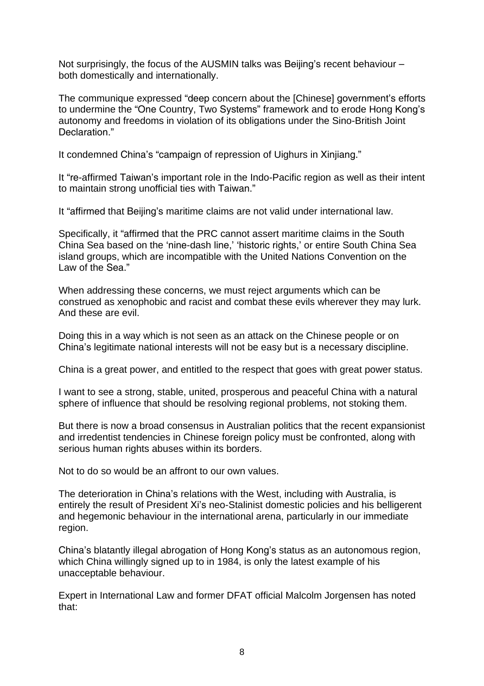Not surprisingly, the focus of the AUSMIN talks was Beijing's recent behaviour – both domestically and internationally.

The communique expressed "deep concern about the [Chinese] government's efforts to undermine the "One Country, Two Systems" framework and to erode Hong Kong's autonomy and freedoms in violation of its obligations under the Sino-British Joint Declaration."

It condemned China's "campaign of repression of Uighurs in Xinjiang."

It "re-affirmed Taiwan's important role in the Indo-Pacific region as well as their intent to maintain strong unofficial ties with Taiwan."

It "affirmed that Beijing's maritime claims are not valid under international law.

Specifically, it "affirmed that the PRC cannot assert maritime claims in the South China Sea based on the 'nine-dash line,' 'historic rights,' or entire South China Sea island groups, which are incompatible with the United Nations Convention on the Law of the Sea."

When addressing these concerns, we must reject arguments which can be construed as xenophobic and racist and combat these evils wherever they may lurk. And these are evil.

Doing this in a way which is not seen as an attack on the Chinese people or on China's legitimate national interests will not be easy but is a necessary discipline.

China is a great power, and entitled to the respect that goes with great power status.

I want to see a strong, stable, united, prosperous and peaceful China with a natural sphere of influence that should be resolving regional problems, not stoking them.

But there is now a broad consensus in Australian politics that the recent expansionist and irredentist tendencies in Chinese foreign policy must be confronted, along with serious human rights abuses within its borders.

Not to do so would be an affront to our own values.

The deterioration in China's relations with the West, including with Australia, is entirely the result of President Xi's neo-Stalinist domestic policies and his belligerent and hegemonic behaviour in the international arena, particularly in our immediate region.

China's blatantly illegal abrogation of Hong Kong's status as an autonomous region, which China willingly signed up to in 1984, is only the latest example of his unacceptable behaviour.

Expert in International Law and former DFAT official Malcolm Jorgensen has noted that: